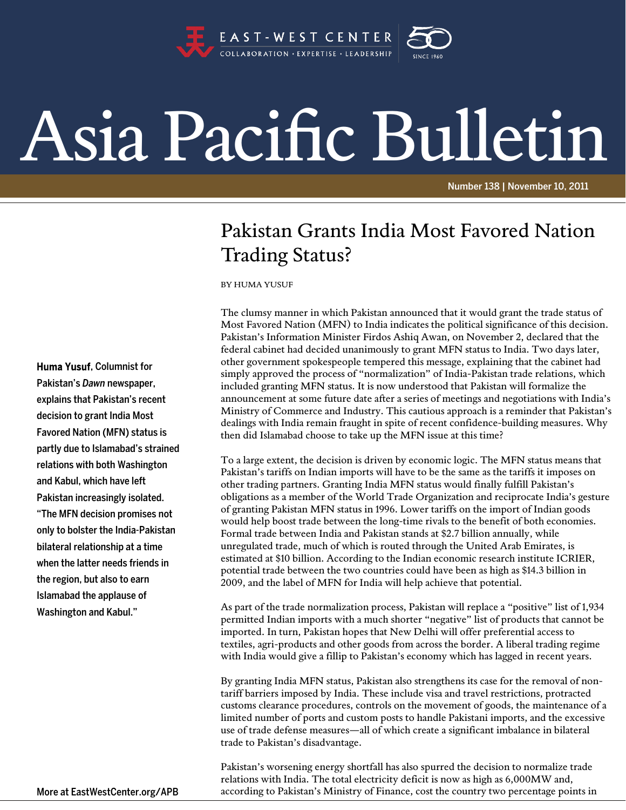

## Asia Pacific Bulletin

Number 138 | November 10, 2011

## Pakistan Grants India Most Favored Nation Trading Status?

BY HUMA YUSUF

The clumsy manner in which Pakistan announced that it would grant the trade status of Most Favored Nation (MFN) to India indicates the political significance of this decision. Pakistan's Information Minister Firdos Ashiq Awan, on November 2, declared that the federal cabinet had decided unanimously to grant MFN status to India. Two days later, other government spokespeople tempered this message, explaining that the cabinet had simply approved the process of "normalization" of India-Pakistan trade relations, which included granting MFN status. It is now understood that Pakistan will formalize the announcement at some future date after a series of meetings and negotiations with India's Ministry of Commerce and Industry. This cautious approach is a reminder that Pakistan's dealings with India remain fraught in spite of recent confidence-building measures. Why then did Islamabad choose to take up the MFN issue at this time?

To a large extent, the decision is driven by economic logic. The MFN status means that Pakistan's tariffs on Indian imports will have to be the same as the tariffs it imposes on other trading partners. Granting India MFN status would finally fulfill Pakistan's obligations as a member of the World Trade Organization and reciprocate India's gesture of granting Pakistan MFN status in 1996. Lower tariffs on the import of Indian goods would help boost trade between the long-time rivals to the benefit of both economies. Formal trade between India and Pakistan stands at \$2.7 billion annually, while unregulated trade, much of which is routed through the United Arab Emirates, is estimated at \$10 billion. According to the Indian economic research institute ICRIER, potential trade between the two countries could have been as high as \$14.3 billion in 2009, and the label of MFN for India will help achieve that potential.

As part of the trade normalization process, Pakistan will replace a "positive" list of 1,934 permitted Indian imports with a much shorter "negative" list of products that cannot be imported. In turn, Pakistan hopes that New Delhi will offer preferential access to textiles, agri-products and other goods from across the border. A liberal trading regime with India would give a fillip to Pakistan's economy which has lagged in recent years.

By granting India MFN status, Pakistan also strengthens its case for the removal of nontariff barriers imposed by India. These include visa and travel restrictions, protracted customs clearance procedures, controls on the movement of goods, the maintenance of a limited number of ports and custom posts to handle Pakistani imports, and the excessive use of trade defense measures—all of which create a significant imbalance in bilateral trade to Pakistan's disadvantage.

Pakistan's worsening energy shortfall has also spurred the decision to normalize trade relations with India. The total electricity deficit is now as high as 6,000MW and, according to Pakistan's Ministry of Finance, cost the country two percentage points in

Huma Yusuf, Columnist for Pakistan's *Dawn* newspaper, explains that Pakistan's recent decision to grant India Most Favored Nation (MFN) status is partly due to Islamabad's strained relations with both Washington and Kabul, which have left Pakistan increasingly isolated. "The MFN decision promises not only to bolster the India-Pakistan bilateral relationship at a time when the latter needs friends in the region, but also to earn Islamabad the applause of Washington and Kabul."